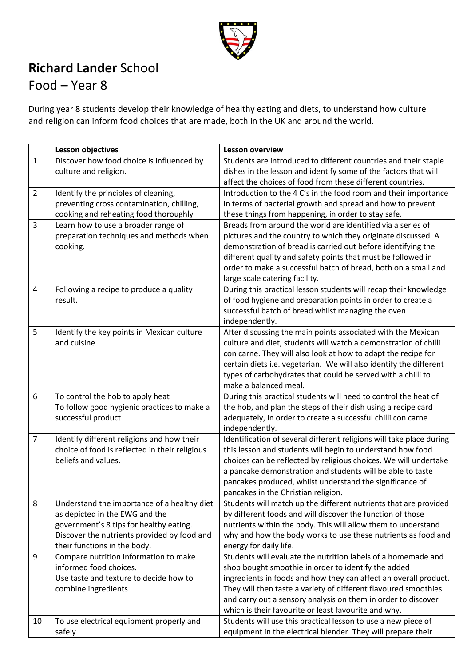

## **Richard Lander** School

## Food – Year 8

During year 8 students develop their knowledge of healthy eating and diets, to understand how culture and religion can inform food choices that are made, both in the UK and around the world.

|                | <b>Lesson objectives</b>                       | <b>Lesson overview</b>                                                                |
|----------------|------------------------------------------------|---------------------------------------------------------------------------------------|
| $\mathbf{1}$   | Discover how food choice is influenced by      | Students are introduced to different countries and their staple                       |
|                | culture and religion.                          | dishes in the lesson and identify some of the factors that will                       |
|                |                                                | affect the choices of food from these different countries.                            |
| $\overline{2}$ | Identify the principles of cleaning,           | Introduction to the 4 C's in the food room and their importance                       |
|                | preventing cross contamination, chilling,      | in terms of bacterial growth and spread and how to prevent                            |
|                | cooking and reheating food thoroughly          | these things from happening, in order to stay safe.                                   |
| 3              | Learn how to use a broader range of            | Breads from around the world are identified via a series of                           |
|                | preparation techniques and methods when        | pictures and the country to which they originate discussed. A                         |
|                | cooking.                                       | demonstration of bread is carried out before identifying the                          |
|                |                                                | different quality and safety points that must be followed in                          |
|                |                                                | order to make a successful batch of bread, both on a small and                        |
|                |                                                | large scale catering facility.                                                        |
| 4              | Following a recipe to produce a quality        | During this practical lesson students will recap their knowledge                      |
|                | result.                                        | of food hygiene and preparation points in order to create a                           |
|                |                                                | successful batch of bread whilst managing the oven                                    |
|                |                                                | independently.                                                                        |
| 5              | Identify the key points in Mexican culture     | After discussing the main points associated with the Mexican                          |
|                | and cuisine                                    | culture and diet, students will watch a demonstration of chilli                       |
|                |                                                | con carne. They will also look at how to adapt the recipe for                         |
|                |                                                | certain diets i.e. vegetarian. We will also identify the different                    |
|                |                                                | types of carbohydrates that could be served with a chilli to<br>make a balanced meal. |
| 6              | To control the hob to apply heat               | During this practical students will need to control the heat of                       |
|                | To follow good hygienic practices to make a    | the hob, and plan the steps of their dish using a recipe card                         |
|                | successful product                             | adequately, in order to create a successful chilli con carne                          |
|                |                                                | independently.                                                                        |
| $\overline{7}$ | Identify different religions and how their     | Identification of several different religions will take place during                  |
|                | choice of food is reflected in their religious | this lesson and students will begin to understand how food                            |
|                | beliefs and values.                            | choices can be reflected by religious choices. We will undertake                      |
|                |                                                | a pancake demonstration and students will be able to taste                            |
|                |                                                | pancakes produced, whilst understand the significance of                              |
|                |                                                | pancakes in the Christian religion.                                                   |
| 8              | Understand the importance of a healthy diet    | Students will match up the different nutrients that are provided                      |
|                | as depicted in the EWG and the                 | by different foods and will discover the function of those                            |
|                | government's 8 tips for healthy eating.        | nutrients within the body. This will allow them to understand                         |
|                | Discover the nutrients provided by food and    | why and how the body works to use these nutrients as food and                         |
|                | their functions in the body.                   | energy for daily life.                                                                |
| 9              | Compare nutrition information to make          | Students will evaluate the nutrition labels of a homemade and                         |
|                | informed food choices.                         | shop bought smoothie in order to identify the added                                   |
|                | Use taste and texture to decide how to         | ingredients in foods and how they can affect an overall product.                      |
|                | combine ingredients.                           | They will then taste a variety of different flavoured smoothies                       |
|                |                                                | and carry out a sensory analysis on them in order to discover                         |
|                |                                                | which is their favourite or least favourite and why.                                  |
| 10             | To use electrical equipment properly and       | Students will use this practical lesson to use a new piece of                         |
|                | safely.                                        | equipment in the electrical blender. They will prepare their                          |